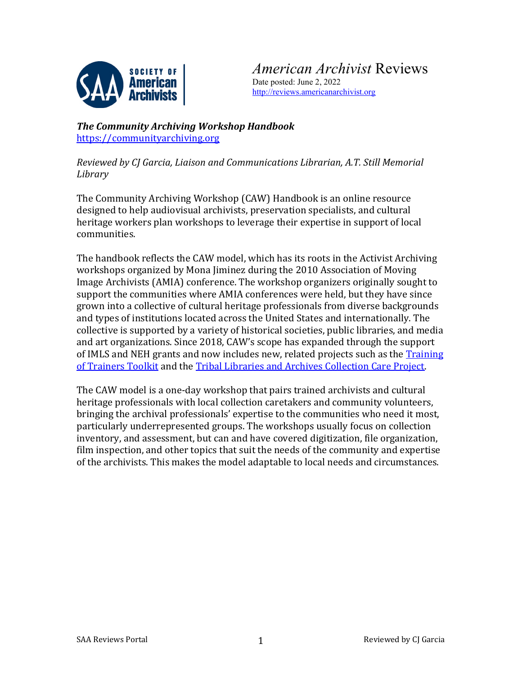

*American Archivist* Reviews Date posted: June 2, 2022 [http://reviews.americanarchivist.org](http://reviews.americanarchivist.org/)

*The Community Archiving Workshop Handbook*  [https://communityarchiving.org](https://communityarchiving.org/)

*Reviewed by CJ Garcia, Liaison and Communications Librarian, A.T. Still Memorial Library*

The Community Archiving Workshop (CAW) Handbook is an online resource designed to help audiovisual archivists, preservation specialists, and cultural heritage workers plan workshops to leverage their expertise in support of local communities.

The handbook reflects the CAW model, which has its roots in the Activist Archiving workshops organized by Mona Jiminez during the 2010 Association of Moving Image Archivists (AMIA) conference. The workshop organizers originally sought to support the communities where AMIA conferences were held, but they have since grown into a collective of cultural heritage professionals from diverse backgrounds and types of institutions located across the United States and internationally. The collective is supported by a variety of historical societies, public libraries, and media and art organizations. Since 2018, CAW's scope has expanded through the support of IMLS and NEH grants and now includes new, related projects such as the Training [of Trainers Toolkit](https://tot.communityarchiving.org/) and th[e Tribal Libraries and Archives Collection Care Project.](https://tot.communityarchiving.org/regions/tribal-archives-sw/)

The CAW model is a one-day workshop that pairs trained archivists and cultural heritage professionals with local collection caretakers and community volunteers, bringing the archival professionals' expertise to the communities who need it most, particularly underrepresented groups. The workshops usually focus on collection inventory, and assessment, but can and have covered digitization, file organization, film inspection, and other topics that suit the needs of the community and expertise of the archivists. This makes the model adaptable to local needs and circumstances.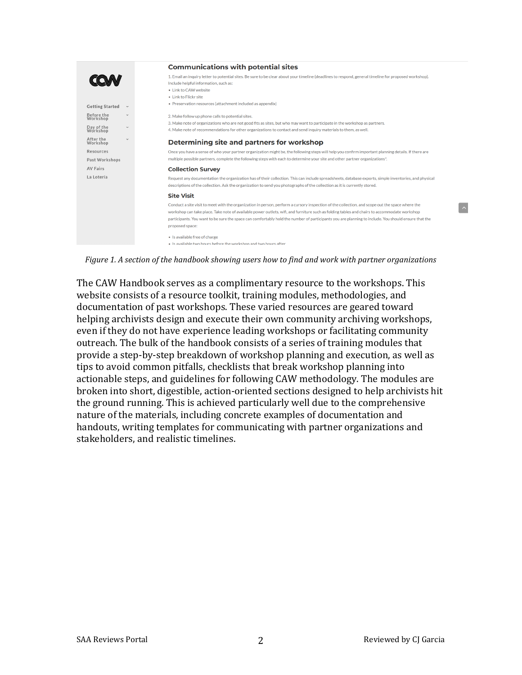|                        |              | <b>Communications with potential sites</b>                                                                                                                                                                                                                                                                                                                                                                                                                                |
|------------------------|--------------|---------------------------------------------------------------------------------------------------------------------------------------------------------------------------------------------------------------------------------------------------------------------------------------------------------------------------------------------------------------------------------------------------------------------------------------------------------------------------|
|                        |              | 1. Email an inquiry letter to potential sites. Be sure to be clear about your timeline (deadlines to respond, general timeline for proposed workshop).<br>Include helpful information, such as:<br>• Link to CAW website<br>. Link to Flickr site                                                                                                                                                                                                                         |
| <b>Getting Started</b> | $\checkmark$ | • Preservation resources (attachment included as appendix)                                                                                                                                                                                                                                                                                                                                                                                                                |
| Before the<br>Workshop | $\checkmark$ | 2. Make follow up phone calls to potential sites.<br>3. Make note of organizations who are not good fits as sites, but who may want to participate in the workshop as partners.                                                                                                                                                                                                                                                                                           |
| Day of the<br>Workshop | $\checkmark$ | 4. Make note of recommendations for other organizations to contact and send inquiry materials to them, as well                                                                                                                                                                                                                                                                                                                                                            |
| After the<br>Workshop  | $\checkmark$ | Determining site and partners for workshop                                                                                                                                                                                                                                                                                                                                                                                                                                |
| Resources              |              | Once you have a sense of who your partner organization might be, the following steps will help you confirm important planning details. If there are                                                                                                                                                                                                                                                                                                                       |
| Past Workshops         |              | multiple possible partners, complete the following steps with each to determine your site and other partner organizations*.                                                                                                                                                                                                                                                                                                                                               |
| <b>AV Fairs</b>        |              | <b>Collection Survey</b>                                                                                                                                                                                                                                                                                                                                                                                                                                                  |
| La Lotería             |              | Request any documentation the organization has of their collection. This can include spreadsheets, database exports, simple inventories, and physical<br>descriptions of the collection. Ask the organization to send you photographs of the collection as it is currently stored.                                                                                                                                                                                        |
|                        |              | <b>Site Visit</b>                                                                                                                                                                                                                                                                                                                                                                                                                                                         |
|                        |              | Conduct a site visit to meet with the organization in person, perform a cursory inspection of the collection, and scope out the space where the<br>workshop can take place. Take note of available power outlets, wifi, and furniture such as folding tables and chairs to accommodate workshop<br>participants. You want to be sure the space can comfortably hold the number of participants you are planning to include. You should ensure that the<br>proposed space: |
|                        |              | • Is available free of charge                                                                                                                                                                                                                                                                                                                                                                                                                                             |
|                        |              | . Is available two hours before the workshop and two hours after                                                                                                                                                                                                                                                                                                                                                                                                          |

*Figure 1. A section of the handbook showing users how to find and work with partner organizations*

The CAW Handbook serves as a complimentary resource to the workshops. This website consists of a resource toolkit, training modules, methodologies, and documentation of past workshops. These varied resources are geared toward helping archivists design and execute their own community archiving workshops, even if they do not have experience leading workshops or facilitating community outreach. The bulk of the handbook consists of a series of training modules that provide a step-by-step breakdown of workshop planning and execution, as well as tips to avoid common pitfalls, checklists that break workshop planning into actionable steps, and guidelines for following CAW methodology. The modules are broken into short, digestible, action-oriented sections designed to help archivists hit the ground running. This is achieved particularly well due to the comprehensive nature of the materials, including concrete examples of documentation and handouts, writing templates for communicating with partner organizations and stakeholders, and realistic timelines.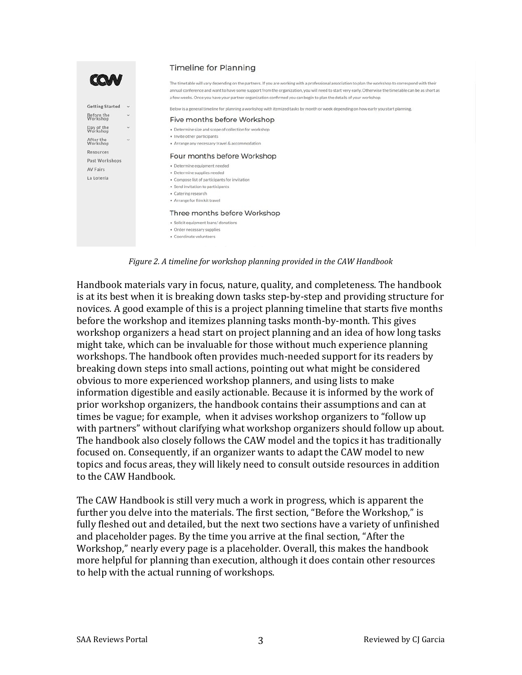

*Figure 2. A timeline for workshop planning provided in the CAW Handbook*

Handbook materials vary in focus, nature, quality, and completeness. The handbook is at its best when it is breaking down tasks step-by-step and providing structure for novices. A good example of this is a project planning timeline that starts five months before the workshop and itemizes planning tasks month-by-month. This gives workshop organizers a head start on project planning and an idea of how long tasks might take, which can be invaluable for those without much experience planning workshops. The handbook often provides much-needed support for its readers by breaking down steps into small actions, pointing out what might be considered obvious to more experienced workshop planners, and using lists to make information digestible and easily actionable. Because it is informed by the work of prior workshop organizers, the handbook contains their assumptions and can at times be vague; for example, when it advises workshop organizers to "follow up with partners" without clarifying what workshop organizers should follow up about. The handbook also closely follows the CAW model and the topics it has traditionally focused on. Consequently, if an organizer wants to adapt the CAW model to new topics and focus areas, they will likely need to consult outside resources in addition to the CAW Handbook.

The CAW Handbook is still very much a work in progress, which is apparent the further you delve into the materials. The first section, "Before the Workshop," is fully fleshed out and detailed, but the next two sections have a variety of unfinished and placeholder pages. By the time you arrive at the final section, "After the Workshop," nearly every page is a placeholder. Overall, this makes the handbook more helpful for planning than execution, although it does contain other resources to help with the actual running of workshops.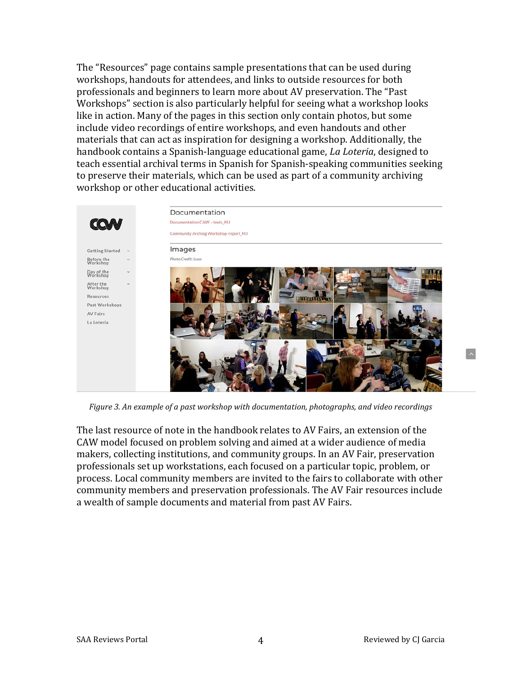The "Resources" page contains sample presentations that can be used during workshops, handouts for attendees, and links to outside resources for both professionals and beginners to learn more about AV preservation. The "Past Workshops" section is also particularly helpful for seeing what a workshop looks like in action. Many of the pages in this section only contain photos, but some include video recordings of entire workshops, and even handouts and other materials that can act as inspiration for designing a workshop. Additionally, the handbook contains a Spanish-language educational game, *La Loteria*, designed to teach essential archival terms in Spanish for Spanish-speaking communities seeking to preserve their materials, which can be used as part of a community archiving workshop or other educational activities.



*Figure 3. An example of a past workshop with documentation, photographs, and video recordings*

The last resource of note in the handbook relates to AV Fairs, an extension of the CAW model focused on problem solving and aimed at a wider audience of media makers, collecting institutions, and community groups. In an AV Fair, preservation professionals set up workstations, each focused on a particular topic, problem, or process. Local community members are invited to the fairs to collaborate with other community members and preservation professionals. The AV Fair resources include a wealth of sample documents and material from past AV Fairs.

 $\sim$